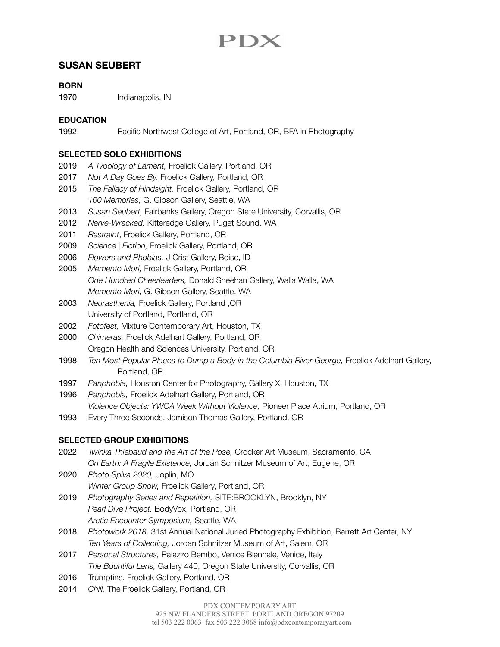# PDX

## **SUSAN SEUBERT**

## **BORN**

1970 Indianapolis, IN

### **EDUCATION**

1992 **Pacific Northwest College of Art, Portland, OR, BFA in Photography** 

#### **SELECTED SOLO EXHIBITIONS**

- 2019 *A Typology of Lament,* Froelick Gallery, Portland, OR
- 2017 *Not A Day Goes By,* Froelick Gallery, Portland, OR
- 2015 *The Fallacy of Hindsight,* Froelick Gallery, Portland, OR *100 Memories,* G. Gibson Gallery, Seattle, WA
- 2013 *Susan Seubert,* Fairbanks Gallery, Oregon State University, Corvallis, OR
- 2012 *Nerve-Wracked,* Kitteredge Gallery, Puget Sound, WA
- 2011 *Restraint*, Froelick Gallery, Portland, OR
- 2009 *Science | Fiction,* Froelick Gallery, Portland, OR
- 2006 *Flowers and Phobias,* J Crist Gallery, Boise, ID
- 2005 *Memento Mori,* Froelick Gallery, Portland, OR *One Hundred Cheerleaders,* Donald Sheehan Gallery, Walla Walla, WA *Memento Mori,* G. Gibson Gallery, Seattle, WA
- 2003 *Neurasthenia,* Froelick Gallery, Portland ,OR University of Portland, Portland, OR
- 2002 *Fotofest,* Mixture Contemporary Art, Houston, TX
- 2000 *Chimeras,* Froelick Adelhart Gallery, Portland, OR Oregon Health and Sciences University, Portland, OR
- 1998 *Ten Most Popular Places to Dump a Body in the Columbia River George,* Froelick Adelhart Gallery, Portland, OR
- 1997 *Panphobia,* Houston Center for Photography, Gallery X, Houston, TX
- 1996 *Panphobia,* Froelick Adelhart Gallery, Portland, OR
- *Violence Objects: YWCA Week Without Violence,* Pioneer Place Atrium, Portland, OR
- 1993 Every Three Seconds, Jamison Thomas Gallery, Portland, OR

#### **SELECTED GROUP EXHIBITIONS**

- 2022 *Twinka Thiebaud and the Art of the Pose,* Crocker Art Museum, Sacramento, CA *On Earth: A Fragile Existence,* Jordan Schnitzer Museum of Art, Eugene, OR
- 2020 *Photo Spiva 2020,* Joplin, MO *Winter Group Show,* Froelick Gallery, Portland, OR
- 2019 *Photography Series and Repetition,* SITE:BROOKLYN, Brooklyn, NY *Pearl Dive Project,* BodyVox, Portland, OR *Arctic Encounter Symposium,* Seattle, WA
- 2018 *Photowork 2018,* 31st Annual National Juried Photography Exhibition, Barrett Art Center, NY *Ten Years of Collecting,* Jordan Schnitzer Museum of Art, Salem, OR
- 2017 *Personal Structures,* Palazzo Bembo, Venice Biennale, Venice, Italy *The Bountiful Lens,* Gallery 440, Oregon State University, Corvallis, OR
- 2016 Trumptins, Froelick Gallery, Portland, OR
- 2014 *Chill,* The Froelick Gallery, Portland, OR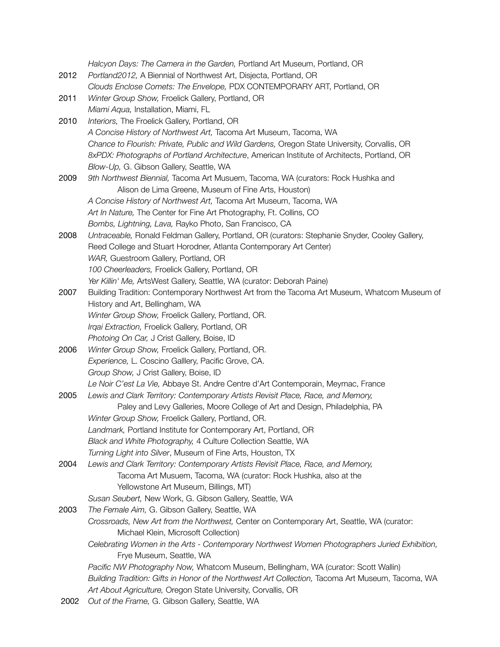*Halcyon Days: The Camera in the Garden,* Portland Art Museum, Portland, OR 2012 *Portland2012,* A Biennial of Northwest Art, Disjecta, Portland, OR *Clouds Enclose Comets: The Envelope,* PDX CONTEMPORARY ART, Portland, OR 2011 *Winter Group Show,* Froelick Gallery, Portland, OR *Miami Aqua,* Installation, Miami, FL 2010 *Interiors,* The Froelick Gallery, Portland, OR *A Concise History of Northwest Art,* Tacoma Art Museum, Tacoma, WA *Chance to Flourish: Private, Public and Wild Gardens,* Oregon State University, Corvallis, OR *8xPDX: Photographs of Portland Architecture*, American Institute of Architects, Portland, OR *Blow-Up,* G. Gibson Gallery, Seattle, WA 2009 *9th Northwest Biennial,* Tacoma Art Musuem, Tacoma, WA (curators: Rock Hushka and Alison de Lima Greene, Museum of Fine Arts, Houston) *A Concise History of Northwest Art,* Tacoma Art Museum, Tacoma, WA *Art In Nature,* The Center for Fine Art Photography, Ft. Collins, CO *Bombs, Lightning, Lava,* Rayko Photo, San Francisco, CA 2008 *Untraceable,* Ronald Feldman Gallery, Portland, OR (curators: Stephanie Snyder, Cooley Gallery, Reed College and Stuart Horodner, Atlanta Contemporary Art Center) *WAR,* Guestroom Gallery, Portland, OR *100 Cheerleaders,* Froelick Gallery, Portland, OR *Yer Killin' Me,* ArtsWest Gallery, Seattle, WA (curator: Deborah Paine) 2007 Building Tradition: Contemporary Northwest Art from the Tacoma Art Museum, Whatcom Museum of History and Art, Bellingham, WA *Winter Group Show,* Froelick Gallery, Portland, OR. *Irqai Extraction,* Froelick Gallery, Portland, OR *Photoing On Car,* J Crist Gallery, Boise, ID 2006 *Winter Group Show,* Froelick Gallery, Portland, OR. *Experience,* L. Coscino Galllery, Pacific Grove, CA. *Group Show,* J Crist Gallery, Boise, ID *Le Noir C'est La Vie,* Abbaye St. Andre Centre d'Art Contemporain, Meymac, France 2005 *Lewis and Clark Territory: Contemporary Artists Revisit Place, Race, and Memory,*  Paley and Levy Galleries, Moore College of Art and Design, Philadelphia, PA *Winter Group Show,* Froelick Gallery, Portland, OR. *Landmark,* Portland Institute for Contemporary Art, Portland, OR *Black and White Photography,* 4 Culture Collection Seattle, WA *Turning Light into Silver*, Museum of Fine Arts, Houston, TX 2004 *Lewis and Clark Territory: Contemporary Artists Revisit Place, Race, and Memory,* Tacoma Art Musuem, Tacoma, WA (curator: Rock Hushka, also at the Yellowstone Art Museum, Billings, MT) *Susan Seubert,* New Work, G. Gibson Gallery, Seattle, WA 2003 *The Female Aim,* G. Gibson Gallery, Seattle, WA *Crossroads, New Art from the Northwest,* Center on Contemporary Art, Seattle, WA (curator: Michael Klein, Microsoft Collection) Celebrating Women in the Arts - Contemporary Northwest Women Photographers Juried Exhibition, Frye Museum, Seattle, WA *Pacific NW Photography Now,* Whatcom Museum, Bellingham, WA (curator: Scott Wallin) *Building Tradition: Gifts in Honor of the Northwest Art Collection,* Tacoma Art Museum, Tacoma, WA *Art About Agriculture,* Oregon State University, Corvallis, OR 2002 *Out of the Frame,* G. Gibson Gallery, Seattle, WA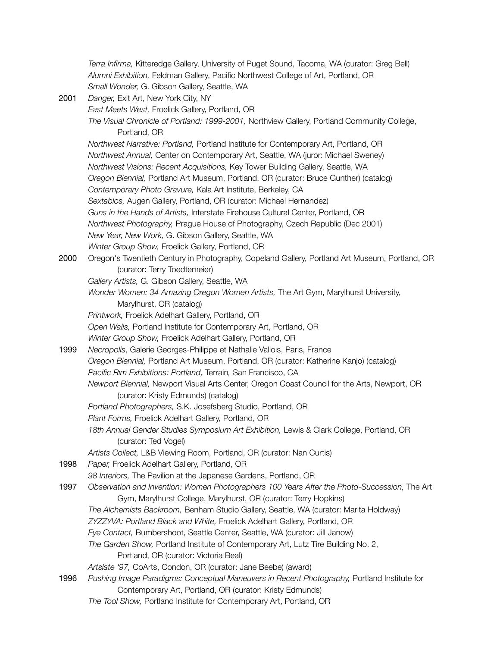*Terra Infirma,* Kitteredge Gallery, University of Puget Sound, Tacoma, WA (curator: Greg Bell) *Alumni Exhibition,* Feldman Gallery, Pacific Northwest College of Art, Portland, OR *Small Wonder,* G. Gibson Gallery, Seattle, WA

- 2001 *Danger,* Exit Art, New York City, NY *East Meets West,* Froelick Gallery, Portland, OR *The Visual Chronicle of Portland: 1999-2001,* Northview Gallery, Portland Community College, Portland, OR *Northwest Narrative: Portland,* Portland Institute for Contemporary Art, Portland, OR *Northwest Annual,* Center on Contemporary Art, Seattle, WA (juror: Michael Sweney) *Northwest Visions: Recent Acquisitions,* Key Tower Building Gallery, Seattle, WA *Oregon Biennial,* Portland Art Museum, Portland, OR (curator: Bruce Gunther) (catalog) *Contemporary Photo Gravure,* Kala Art Institute, Berkeley, CA *Sextablos,* Augen Gallery, Portland, OR (curator: Michael Hernandez) *Guns in the Hands of Artists,* Interstate Firehouse Cultural Center, Portland, OR *Northwest Photography,* Prague House of Photography, Czech Republic (Dec 2001) *New Year, New Work,* G. Gibson Gallery, Seattle, WA *Winter Group Show,* Froelick Gallery, Portland, OR 2000 Oregon's Twentieth Century in Photography, Copeland Gallery, Portland Art Museum, Portland, OR (curator: Terry Toedtemeier) *Gallery Artists,* G. Gibson Gallery, Seattle, WA *Wonder Women: 34 Amazing Oregon Women Artists,* The Art Gym, Marylhurst University, Marylhurst, OR (catalog) *Printwork,* Froelick Adelhart Gallery, Portland, OR *Open Walls,* Portland Institute for Contemporary Art, Portland, OR *Winter Group Show,* Froelick Adelhart Gallery, Portland, OR 1999 *Necropolis*, Galerie Georges-Philippe et Nathalie Vallois, Paris, France *Oregon Biennial,* Portland Art Museum, Portland, OR (curator: Katherine Kanjo) (catalog) *Pacific Rim Exhibitions: Portland,* Terrain*,* San Francisco, CA *Newport Biennial,* Newport Visual Arts Center, Oregon Coast Council for the Arts, Newport, OR (curator: Kristy Edmunds) (catalog) *Portland Photographers,* S.K. Josefsberg Studio, Portland, OR *Plant Forms,* Froelick Adelhart Gallery, Portland, OR *18th Annual Gender Studies Symposium Art Exhibition,* Lewis & Clark College, Portland, OR (curator: Ted Vogel) *Artists Collect,* L&B Viewing Room, Portland, OR (curator: Nan Curtis) 1998 *Paper,* Froelick Adelhart Gallery, Portland, OR *98 Interiors,* The Pavilion at the Japanese Gardens, Portland, OR 1997 *Observation and Invention: Women Photographers 100 Years After the Photo-Succession,* The Art Gym, Marylhurst College, Marylhurst, OR (curator: Terry Hopkins) *The Alchemists Backroom,* Benham Studio Gallery, Seattle, WA (curator: Marita Holdway) *ZYZZYVA: Portland Black and White,* Froelick Adelhart Gallery, Portland, OR *Eye Contact,* Bumbershoot, Seattle Center, Seattle, WA (curator: Jill Janow) *The Garden Show,* Portland Institute of Contemporary Art, Lutz Tire Building No. 2, Portland, OR (curator: Victoria Beal) *Artslate '97,* CoArts, Condon, OR (curator: Jane Beebe) (award) 1996 *Pushing Image Paradigms: Conceptual Maneuvers in Recent Photography,* Portland Institute for
	- Contemporary Art, Portland, OR (curator: Kristy Edmunds) *The Tool Show,* Portland Institute for Contemporary Art, Portland, OR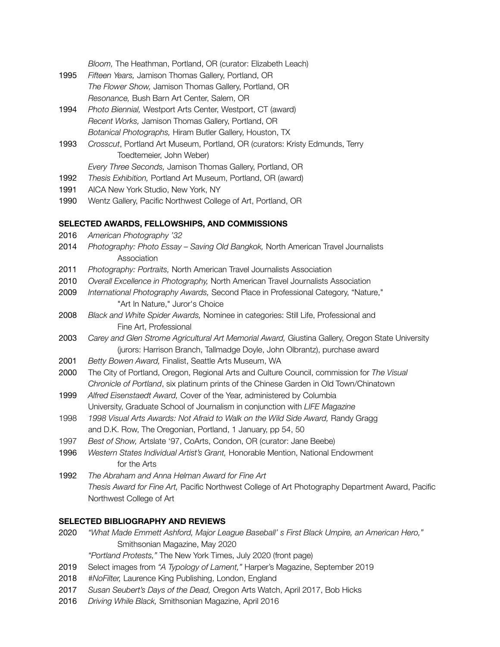*Bloom,* The Heathman, Portland, OR (curator: Elizabeth Leach)

- 1995 *Fifteen Years,* Jamison Thomas Gallery, Portland, OR *The Flower Show,* Jamison Thomas Gallery, Portland, OR *Resonance,* Bush Barn Art Center, Salem, OR
- 1994 *Photo Biennial,* Westport Arts Center, Westport, CT (award) *Recent Works,* Jamison Thomas Gallery, Portland, OR *Botanical Photographs,* Hiram Butler Gallery, Houston, TX
- 1993 *Crosscut*, Portland Art Museum, Portland, OR (curators: Kristy Edmunds, Terry Toedtemeier, John Weber)

*Every Three Seconds,* Jamison Thomas Gallery, Portland, OR

- 1992 *Thesis Exhibition,* Portland Art Museum, Portland, OR (award)
- 1991 AICA New York Studio, New York, NY
- 1990 Wentz Gallery, Pacific Northwest College of Art, Portland, OR

#### **SELECTED AWARDS, FELLOWSHIPS, AND COMMISSIONS**

- 2016 *American Photography '32*
- 2014 *Photography: Photo Essay Saving Old Bangkok,* North American Travel Journalists Association
- 2011 *Photography: Portraits,* North American Travel Journalists Association
- 2010 *Overall Excellence in Photography,* North American Travel Journalists Association
- 2009 *International Photography Awards,* Second Place in Professional Category, "Nature," "Art In Nature," Juror's Choice
- 2008 *Black and White Spider Awards,* Nominee in categories: Still Life, Professional and Fine Art, Professional
- 2003 *Carey and Glen Strome Agricultural Art Memorial Award,* Giustina Gallery, Oregon State University (jurors: Harrison Branch, Tallmadge Doyle, John Olbrantz), purchase award
- 2001 *Betty Bowen Award,* Finalist, Seattle Arts Museum, WA
- 2000 The City of Portland, Oregon, Regional Arts and Culture Council, commission for *The Visual Chronicle of Portland*, six platinum prints of the Chinese Garden in Old Town/Chinatown
- 1999 *Alfred Eisenstaedt Award,* Cover of the Year, administered by Columbia University, Graduate School of Journalism in conjunction with *LIFE Magazine*
- 1998 *1998 Visual Arts Awards: Not Afraid to Walk on the Wild Side Award,* Randy Gragg and D.K. Row, The Oregonian, Portland, 1 January, pp 54, 50
- 1997 *Best of Show,* Artslate '97, CoArts, Condon, OR (curator: Jane Beebe)
- 1996 *Western States Individual Artist's Grant,* Honorable Mention, National Endowment for the Arts
- 1992 *The Abraham and Anna Helman Award for Fine Art Thesis Award for Fine Art,* Pacific Northwest College of Art Photography Department Award, Pacific Northwest College of Art

#### **SELECTED BIBLIOGRAPHY AND REVIEWS**

2020 *"What Made Emmett Ashford, Major League Baseball' s First Black Umpire, an American Hero,"* Smithsonian Magazine, May 2020

*"Portland Protests,"* The New York Times, July 2020 (front page)

- 2019 Select images from *"A Typology of Lament,"* Harper's Magazine, September 2019
- 2018 *#NoFilter,* Laurence King Publishing, London, England
- 2017 *Susan Seubert's Days of the Dead,* Oregon Arts Watch, April 2017, Bob Hicks
- 2016 *Driving While Black,* Smithsonian Magazine, April 2016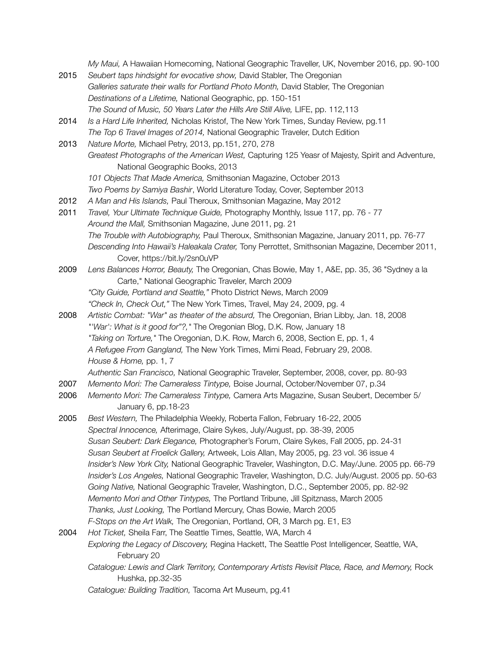*My Maui,* A Hawaiian Homecoming, National Geographic Traveller, UK, November 2016, pp. 90-100

- 2015 *Seubert taps hindsight for evocative show,* David Stabler, The Oregonian *Galleries saturate their walls for Portland Photo Month,* David Stabler, The Oregonian *Destinations of a Lifetime,* National Geographic, pp. 150-151 *The Sound of Music, 50 Years Later the Hills Are Still Alive,* LIFE, pp. 112,113
- 2014 *Is a Hard Life Inherited,* Nicholas Kristof, The New York Times, Sunday Review, pg.11 *The Top 6 Travel Images of 2014,* National Geographic Traveler, Dutch Edition
- 2013 *Nature Morte,* Michael Petry, 2013, pp.151, 270, 278 *Greatest Photographs of the American West,* Capturing 125 Yeasr of Majesty, Spirit and Adventure, National Geographic Books, 2013
	- *101 Objects That Made America,* Smithsonian Magazine, October 2013
	- *Two Poems by Samiya Bashir*, World Literature Today, Cover, September 2013
- 2012 *A Man and His Islands,* Paul Theroux, Smithsonian Magazine, May 2012
- 2011 *Travel, Your Ultimate Technique Guide,* Photography Monthly, Issue 117, pp. 76 77 *Around the Mall,* Smithsonian Magazine, June 2011, pg. 21 *The Trouble with Autobiography,* Paul Theroux, Smithsonian Magazine, January 2011, pp. 76-77 *Descending Into Hawaii's Haleakala Crater,* Tony Perrottet, Smithsonian Magazine, December 2011, Cover, https://bit.ly/2sn0uVP
- 2009 *Lens Balances Horror, Beauty,* The Oregonian, Chas Bowie, May 1, A&E, pp. 35, 36 "Sydney a la Carte," National Geographic Traveler, March 2009 *"City Guide, Portland and Seattle,"* Photo District News, March 2009
	- *"Check In, Check Out,"* The New York Times, Travel, May 24, 2009, pg. 4
- 2008 *Artistic Combat: "War" as theater of the absurd,* The Oregonian, Brian Libby, Jan. 18, 2008 *"'War': What is it good for"?,"* The Oregonian Blog, D.K. Row, January 18 *"Taking on Torture,"* The Oregonian, D.K. Row, March 6, 2008, Section E, pp. 1, 4 *A Refugee From Gangland,* The New York Times, Mimi Read, February 29, 2008.

*House & Home,* pp. 1, 7

- *Authentic San Francisco,* National Geographic Traveler, September, 2008, cover, pp. 80-93
- 2007 *Memento Mori: The Cameraless Tintype,* Boise Journal, October/November 07, p.34
- 2006 *Memento Mori: The Cameraless Tintype,* Camera Arts Magazine, Susan Seubert, December 5/ January 6, pp.18-23
- 2005 *Best Western,* The Philadelphia Weekly, Roberta Fallon, February 16-22, 2005 *Spectral Innocence,* Afterimage, Claire Sykes, July/August, pp. 38-39, 2005 *Susan Seubert: Dark Elegance,* Photographer's Forum, Claire Sykes, Fall 2005, pp. 24-31 *Susan Seubert at Froelick Gallery,* Artweek, Lois Allan, May 2005, pg. 23 vol. 36 issue 4 *Insider's New York City,* National Geographic Traveler, Washington, D.C. May/June. 2005 pp. 66-79 *Insider's Los Angeles,* National Geographic Traveler, Washington, D.C. July/August. 2005 pp. 50-63 *Going Native,* National Geographic Traveler, Washington, D.C., September 2005, pp. 82-92 *Memento Mori and Other Tintypes,* The Portland Tribune, Jill Spitznass, March 2005 *Thanks, Just Looking,* The Portland Mercury, Chas Bowie, March 2005 *F-Stops on the Art Walk,* The Oregonian, Portland, OR, 3 March pg. E1, E3
- 2004 *Hot Ticket,* Sheila Farr, The Seattle Times, Seattle, WA, March 4 *Exploring the Legacy of Discovery,* Regina Hackett, The Seattle Post Intelligencer, Seattle, WA, February 20
	- Catalogue: Lewis and Clark Territory, Contemporary Artists Revisit Place, Race, and Memory, Rock Hushka, pp.32-35
	- *Catalogue: Building Tradition,* Tacoma Art Museum, pg.41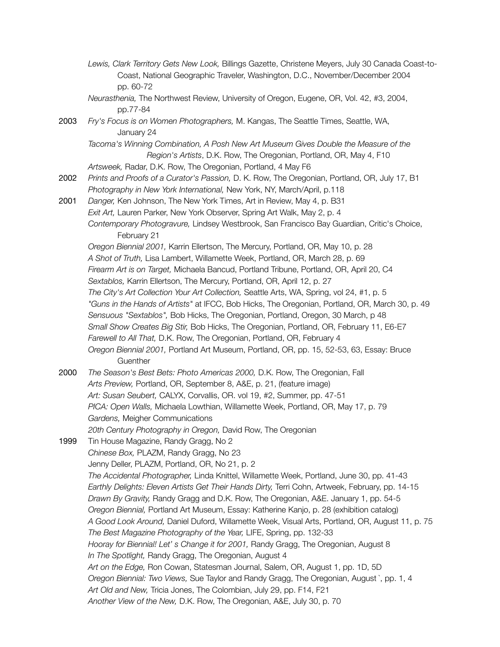- *Lewis, Clark Territory Gets New Look,* Billings Gazette, Christene Meyers, July 30 Canada Coast-to- Coast, National Geographic Traveler, Washington, D.C., November/December 2004 pp. 60-72
- *Neurasthenia,* The Northwest Review, University of Oregon, Eugene, OR, Vol. 42, #3, 2004, pp.77-84
- 2003 *Fry's Focus is on Women Photographers,* M. Kangas, The Seattle Times, Seattle, WA, January 24

Tacoma's Winning Combination, A Posh New Art Museum Gives Double the Measure of the  *Region's Artists*, D.K. Row, The Oregonian, Portland, OR, May 4, F10

*Artsweek,* Radar, D.K. Row, The Oregonian, Portland, 4 May F6

- 2002 *Prints and Proofs of a Curator's Passion,* D. K. Row, The Oregonian, Portland, OR, July 17, B1 *Photography in New York International,* New York, NY, March/April, p.118
- 2001 *Danger,* Ken Johnson, The New York Times, Art in Review, May 4, p. B31 *Exit Art,* Lauren Parker, New York Observer, Spring Art Walk, May 2, p. 4 *Contemporary Photogravure,* Lindsey Westbrook, San Francisco Bay Guardian, Critic's Choice, February 21

*Oregon Biennial 2001,* Karrin Ellertson, The Mercury, Portland, OR, May 10, p. 28

*A Shot of Truth,* Lisa Lambert, Willamette Week, Portland, OR, March 28, p. 69

- *Firearm Art is on Target,* Michaela Bancud, Portland Tribune, Portland, OR, April 20, C4
- *Sextablos,* Karrin Ellertson, The Mercury, Portland, OR, April 12, p. 27

*The City's Art Collection Your Art Collection,* Seattle Arts, WA, Spring, vol 24, #1, p. 5

- *"Guns in the Hands of Artists"* at IFCC, Bob Hicks, The Oregonian, Portland, OR, March 30, p. 49
- *Sensuous "Sextablos",* Bob Hicks, The Oregonian, Portland, Oregon, 30 March, p 48
- *Small Show Creates Big Stir,* Bob Hicks, The Oregonian, Portland, OR, February 11, E6-E7
- *Farewell to All That,* D.K. Row, The Oregonian, Portland, OR, February 4
- *Oregon Biennial 2001,* Portland Art Museum, Portland, OR, pp. 15, 52-53, 63, Essay: Bruce **Guenther**
- 2000 *The Season's Best Bets: Photo Americas 2000,* D.K. Row, The Oregonian, Fall *Arts Preview,* Portland, OR, September 8, A&E, p. 21, (feature image) *Art: Susan Seubert,* CALYX, Corvallis, OR. vol 19, #2, Summer, pp. 47-51 *PICA: Open Walls,* Michaela Lowthian, Willamette Week, Portland, OR, May 17, p. 79 *Gardens,* Meigher Communications
	-
- *20th Century Photography in Oregon,* David Row, The Oregonian 1999 Tin House Magazine, Randy Gragg, No 2 *Chinese Box,* PLAZM, Randy Gragg, No 23 Jenny Deller, PLAZM, Portland, OR, No 21, p. 2 *The Accidental Photographer,* Linda Knittel, Willamette Week, Portland, June 30, pp. 41-43 *Earthly Delights: Eleven Artists Get Their Hands Dirty,* Terri Cohn, Artweek, February, pp. 14-15 *Drawn By Gravity,* Randy Gragg and D.K. Row, The Oregonian, A&E. January 1, pp. 54-5 *Oregon Biennial,* Portland Art Museum, Essay: Katherine Kanjo, p. 28 (exhibition catalog) *A Good Look Around,* Daniel Duford, Willamette Week, Visual Arts, Portland, OR, August 11, p. 75 *The Best Magazine Photography of the Year,* LIFE, Spring, pp. 132-33 *Hooray for Biennial! Let' s Change it for 2001,* Randy Gragg, The Oregonian, August 8 *In The Spotlight,* Randy Gragg, The Oregonian, August 4 *Art on the Edge,* Ron Cowan, Statesman Journal, Salem, OR, August 1, pp. 1D, 5D *Oregon Biennial: Two Views,* Sue Taylor and Randy Gragg, The Oregonian, August `, pp. 1, 4 *Art Old and New,* Tricia Jones, The Colombian, July 29, pp. F14, F21 *Another View of the New,* D.K. Row, The Oregonian, A&E, July 30, p. 70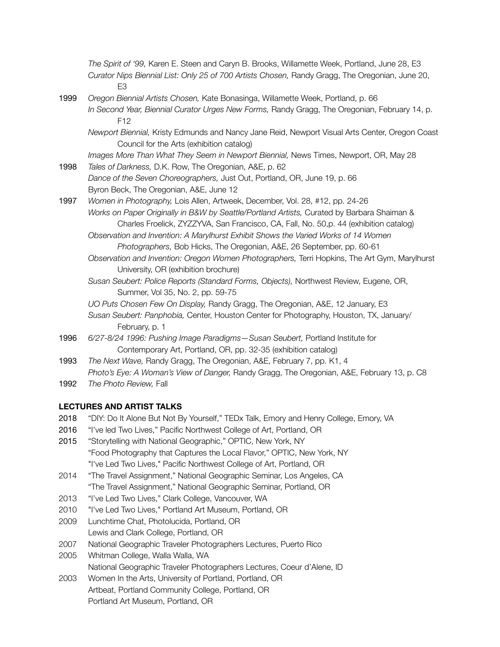*The Spirit of '99,* Karen E. Steen and Caryn B. Brooks, Willamette Week, Portland, June 28, E3 *Curator Nips Biennial List: Only 25 of 700 Artists Chosen,* Randy Gragg, The Oregonian, June 20, E3

- 1999 *Oregon Biennial Artists Chosen,* Kate Bonasinga, Willamette Week, Portland, p. 66 *In Second Year, Biennial Curator Urges New Forms,* Randy Gragg, The Oregonian, February 14, p. F12
	- *Newport Biennial,* Kristy Edmunds and Nancy Jane Reid, Newport Visual Arts Center, Oregon Coast Council for the Arts (exhibition catalog)

*Images More Than What They Seem in Newport Biennial,* News Times, Newport, OR, May 28

- 1998 *Tales of Darkness,* D.K. Row, The Oregonian, A&E, p. 62 *Dance of the Seven Choreographers,* Just Out, Portland, OR, June 19, p. 66 Byron Beck, The Oregonian, A&E, June 12
- 1997 *Women in Photography,* Lois Allen, Artweek, December, Vol. 28, #12, pp. 24-26 *Works on Paper Originally in B&W by Seattle/Portland Artists,* Curated by Barbara Shaiman & Charles Froelick, ZYZZYVA, San Francisco, CA, Fall, No. 50,p. 44 (exhibition catalog)
	- **Observation and Invention: A Marylhurst Exhibit Shows the Varied Works of 14 Women**  *Photographers,* Bob Hicks, The Oregonian, A&E, 26 September, pp. 60-61
	- *Observation and Invention: Oregon Women Photographers,* Terri Hopkins, The Art Gym, Marylhurst University, OR (exhibition brochure)
	- *Susan Seubert: Police Reports (Standard Forms, Objects),* Northwest Review, Eugene, OR, Summer, Vol 35, No. 2, pp. 59-75
	- *UO Puts Chosen Few On Display,* Randy Gragg, The Oregonian, A&E, 12 January, E3
	- *Susan Seubert: Panphobia,* Center, Houston Center for Photography, Houston, TX, January/ February, p. 1
- 1996 *6/27-8/24 1996: Pushing Image Paradigms—Susan Seubert,* Portland Institute for Contemporary Art, Portland, OR, pp. 32-35 (exhibition catalog)
- 1993 *The Next Wave,* Randy Gragg, The Oregonian, A&E, February 7, pp. K1, 4 *Photo's Eye: A Woman's View of Danger,* Randy Gragg, The Oregonian, A&E, February 13, p. C8
- 1992 *The Photo Review,* Fall

# **LECTURES AND ARTIST TALKS**

- 2018 "DIY: Do It Alone But Not By Yourself," TEDx Talk, Emory and Henry College, Emory, VA
- 2016 "I've led Two Lives," Pacific Northwest College of Art, Portland, OR
- 2015 "Storytelling with National Geographic," OPTIC, New York, NY "Food Photography that Captures the Local Flavor," OPTIC, New York, NY "I've Led Two Lives," Pacific Northwest College of Art, Portland, OR
- 2014 "The Travel Assignment," National Geographic Seminar, Los Angeles, CA "The Travel Assignment," National Geographic Seminar, Portland, OR
- 2013 "I've Led Two Lives," Clark College, Vancouver, WA
- 2010 "I've Led Two Lives," Portland Art Museum, Portland, OR
- 2009 Lunchtime Chat, Photolucida, Portland, OR Lewis and Clark College, Portland, OR
- 2007 National Geographic Traveler Photographers Lectures, Puerto Rico
- 2005 Whitman College, Walla Walla, WA National Geographic Traveler Photographers Lectures, Coeur d'Alene, ID
- 2003 Women In the Arts, University of Portland, Portland, OR Artbeat, Portland Community College, Portland, OR Portland Art Museum, Portland, OR